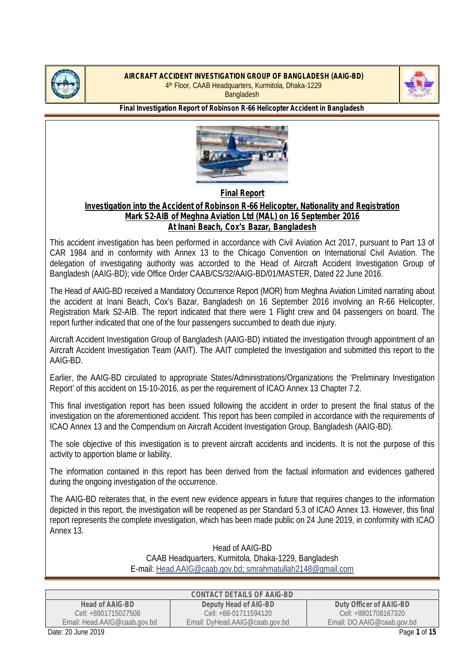



**Final Investigation Report of Robinson R-66 Helicopter Accident in Bangladesh**



**Final Report**

## **Investigation into the Accident of Robinson R-66 Helicopter, Nationality and Registration Mark S2-AIB of Meghna Aviation Ltd (MAL) on 16 September 2016 At Inani Beach, Cox's Bazar, Bangladesh**

This accident investigation has been performed in accordance with Civil Aviation Act 2017, pursuant to Part 13 of CAR 1984 and in conformity with Annex 13 to the Chicago Convention on International Civil Aviation. The delegation of investigating authority was accorded to the Head of Aircraft Accident Investigation Group of Bangladesh (AAIG-BD); vide Office Order CAAB/CS/32/AAIG-BD/01/MASTER, Dated 22 June 2016.

The Head of AAIG-BD received a Mandatory Occurrence Report (MOR) from Meghna Aviation Limited narrating about the accident at Inani Beach, Cox's Bazar, Bangladesh on 16 September 2016 involving an R-66 Helicopter, Registration Mark S2-AIB. The report indicated that there were 1 Flight crew and 04 passengers on board. The report further indicated that one of the four passengers succumbed to death due injury.

Aircraft Accident Investigation Group of Bangladesh (AAIG-BD) initiated the investigation through appointment of an Aircraft Accident Investigation Team (AAIT). The AAIT completed the Investigation and submitted this report to the AAIG-BD.

Earlier, the AAIG-BD circulated to appropriate States/Administrations/Organizations the 'Preliminary Investigation Report' of this accident on 15-10-2016, as per the requirement of ICAO Annex 13 Chapter 7.2.

This final investigation report has been issued following the accident in order to present the final status of the investigation on the aforementioned accident. This report has been compiled in accordance with the requirements of ICAO Annex 13 and the Compendium on Aircraft Accident Investigation Group, Bangladesh (AAIG-BD).

The sole objective of this investigation is to prevent aircraft accidents and incidents. It is not the purpose of this activity to apportion blame or liability.

The information contained in this report has been derived from the factual information and evidences gathered during the ongoing investigation of the occurrence.

The AAIG-BD reiterates that, in the event new evidence appears in future that requires changes to the information depicted in this report, the investigation will be reopened as per Standard 5.3 of ICAO Annex 13. However, this final report represents the complete investigation, which has been made public on 24 June 2019, in conformity with ICAO Annex 13.

> Head of AAIG-BD CAAB Headquarters, Kurmitola, Dhaka-1229, Bangladesh E-mail: Head.AAIG@caab.gov.bd; smrahmatullah2148@gmail.com

|                              | CONTACT DETAILS OF AAIG-BD     |                            |
|------------------------------|--------------------------------|----------------------------|
| Head of AAIG-BD              | Deputy Head of AIG-BD          | Duty Officer of AAIG-BD    |
| Cell: +8801715027508         | Cell: +88-01711594120          | Cell: +8801708167320       |
| Email: Head.AAIG@caab.gov.bd | Email: DyHead.AAIG@caab.gov.bd | Email: DO.AAIG@caab.gov.bd |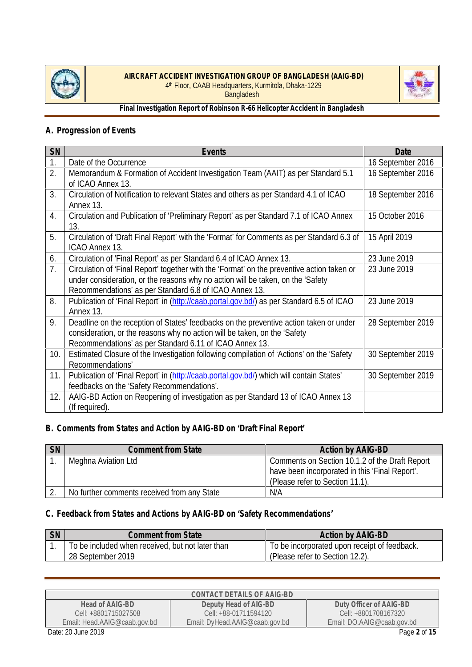



**Final Investigation Report of Robinson R-66 Helicopter Accident in Bangladesh**

# **A. Progression of Events**

| SN  | Events                                                                                                                                                                                                                                  | Date              |
|-----|-----------------------------------------------------------------------------------------------------------------------------------------------------------------------------------------------------------------------------------------|-------------------|
| 1.  | Date of the Occurrence                                                                                                                                                                                                                  | 16 September 2016 |
| 2.  | Memorandum & Formation of Accident Investigation Team (AAIT) as per Standard 5.1<br>of ICAO Annex 13.                                                                                                                                   | 16 September 2016 |
| 3.  | Circulation of Notification to relevant States and others as per Standard 4.1 of ICAO<br>Annex 13.                                                                                                                                      | 18 September 2016 |
| 4.  | Circulation and Publication of 'Preliminary Report' as per Standard 7.1 of ICAO Annex<br>13.                                                                                                                                            | 15 October 2016   |
| 5.  | Circulation of 'Draft Final Report' with the 'Format' for Comments as per Standard 6.3 of<br>ICAO Annex 13.                                                                                                                             | 15 April 2019     |
| 6.  | Circulation of 'Final Report' as per Standard 6.4 of ICAO Annex 13.                                                                                                                                                                     | 23 June 2019      |
| 7.  | Circulation of 'Final Report' together with the 'Format' on the preventive action taken or<br>under consideration, or the reasons why no action will be taken, on the 'Safety<br>Recommendations' as per Standard 6.8 of ICAO Annex 13. | 23 June 2019      |
| 8.  | Publication of 'Final Report' in (http://caab.portal.gov.bd/) as per Standard 6.5 of ICAO<br>Annex 13.                                                                                                                                  | 23 June 2019      |
| 9.  | Deadline on the reception of States' feedbacks on the preventive action taken or under<br>consideration, or the reasons why no action will be taken, on the 'Safety<br>Recommendations' as per Standard 6.11 of ICAO Annex 13.          | 28 September 2019 |
| 10. | Estimated Closure of the Investigation following compilation of 'Actions' on the 'Safety<br>Recommendations'                                                                                                                            | 30 September 2019 |
| 11. | Publication of 'Final Report' in (http://caab.portal.gov.bd/) which will contain States'<br>feedbacks on the 'Safety Recommendations'.                                                                                                  | 30 September 2019 |
| 12. | AAIG-BD Action on Reopening of investigation as per Standard 13 of ICAO Annex 13<br>(If required).                                                                                                                                      |                   |

## **B. Comments from States and Action by AAIG-BD on 'Draft Final Report'**

| <b>SN</b> | <b>Comment from State</b>                   | <b>Action by AAIG-BD</b>                       |
|-----------|---------------------------------------------|------------------------------------------------|
|           | Meghna Aviation Ltd                         | Comments on Section 10.1.2 of the Draft Report |
|           |                                             | have been incorporated in this 'Final Report'. |
|           |                                             | (Please refer to Section 11.1).                |
|           | No further comments received from any State | N/A                                            |

## **C. Feedback from States and Actions by AAIG-BD on 'Safety Recommendations'**

| SN | Comment from State                               | Action by AAIG-BD                            |
|----|--------------------------------------------------|----------------------------------------------|
|    | To be included when received, but not later than | To be incorporated upon receipt of feedback. |
|    | 28 September 2019                                | (Please refer to Section 12.2).              |

|                              | CONTACT DETAILS OF AAIG-BD     |                            |
|------------------------------|--------------------------------|----------------------------|
| Head of AAIG-BD              | Deputy Head of AIG-BD          | Duty Officer of AAIG-BD    |
| Cell: +8801715027508         | Cell: +88-01711594120          | Cell: +8801708167320       |
| Email: Head.AAIG@caab.gov.bd | Email: DyHead.AAIG@caab.gov.bd | Email: DO.AAIG@caab.gov.bd |
| Date: 20 June 2019           |                                | Page 2 of 15               |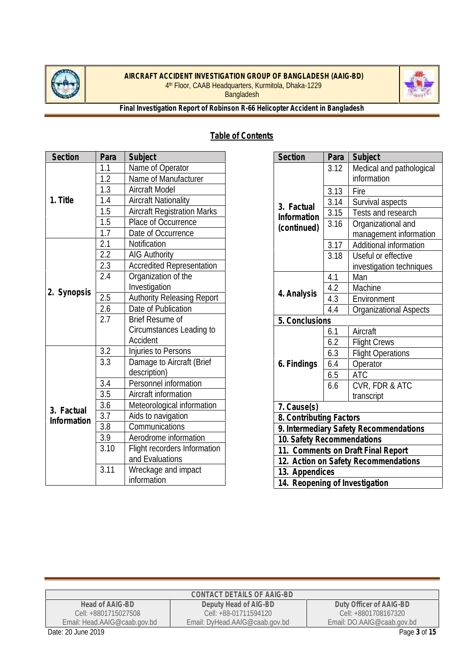



**Final Investigation Report of Robinson R-66 Helicopter Accident in Bangladesh**

# **Table of Contents**

| Section     | Para             | Subject                            |
|-------------|------------------|------------------------------------|
|             | 1.1              | Name of Operator                   |
|             | 1.2              | Name of Manufacturer               |
|             | 1.3              | <b>Aircraft Model</b>              |
| 1. Title    | 1.4              | <b>Aircraft Nationality</b>        |
|             | 1.5              | <b>Aircraft Registration Marks</b> |
|             | 1.5              | Place of Occurrence                |
|             | $\overline{1.7}$ | Date of Occurrence                 |
|             | 2.1              | Notification                       |
|             | 2.2              | <b>AIG Authority</b>               |
|             | 2.3              | <b>Accredited Representation</b>   |
|             | 2.4              | Organization of the                |
| 2. Synopsis |                  | Investigation                      |
|             | 2.5              | <b>Authority Releasing Report</b>  |
|             | 2.6              | Date of Publication                |
|             | 2.7              | <b>Brief Resume of</b>             |
|             |                  | Circumstances Leading to           |
|             |                  | Accident                           |
|             | 3.2              | Injuries to Persons                |
|             | 3.3              | Damage to Aircraft (Brief          |
|             |                  | description)                       |
|             | 3.4              | Personnel information              |
|             | 3.5              | Aircraft information               |
| 3. Factual  | 3.6              | Meteorological information         |
| Information | 3.7              | Aids to navigation                 |
|             | 3.8              | Communications                     |
|             | 3.9              | Aerodrome information              |
|             | 3.10             | Flight recorders Information       |
|             |                  | and Evaluations                    |
|             | 3.11             | Wreckage and impact                |
|             |                  | information                        |

| Section                            | Para | Subject                                |
|------------------------------------|------|----------------------------------------|
|                                    | 3.12 | Medical and pathological               |
|                                    |      | information                            |
|                                    | 3.13 | Fire                                   |
| 3. Factual                         | 3.14 | Survival aspects                       |
| Information                        | 3.15 | Tests and research                     |
| (continued)                        | 3.16 | Organizational and                     |
|                                    |      | management information                 |
|                                    | 3.17 | Additional information                 |
|                                    | 3.18 | Useful or effective                    |
|                                    |      | investigation techniques               |
|                                    | 4.1  | Man                                    |
| 4. Analysis                        | 4.2  | Machine                                |
|                                    | 4.3  | Environment                            |
|                                    | 4.4  | <b>Organizational Aspects</b>          |
| 5. Conclusions                     |      |                                        |
|                                    | 6.1  | Aircraft                               |
|                                    | 6.2  | <b>Flight Crews</b>                    |
|                                    | 6.3  | <b>Flight Operations</b>               |
| 6. Findings                        | 6.4  | Operator                               |
|                                    | 6.5  | <b>ATC</b>                             |
|                                    | 6.6  | CVR, FDR & ATC                         |
|                                    |      | transcript                             |
| 7. Cause(s)                        |      |                                        |
| 8. Contributing Factors            |      |                                        |
|                                    |      | 9. Intermediary Safety Recommendations |
| 10. Safety Recommendations         |      |                                        |
| 11. Comments on Draft Final Report |      |                                        |
|                                    |      | 12. Action on Safety Recommendations   |
| 13. Appendices                     |      |                                        |
| 14. Reopening of Investigation     |      |                                        |

|                              | CONTACT DETAILS OF AAIG-BD     |                            |
|------------------------------|--------------------------------|----------------------------|
| Head of AAIG-BD              | Deputy Head of AIG-BD          | Duty Officer of AAIG-BD    |
| Cell: +8801715027508         | Cell: +88-01711594120          | Cell: +8801708167320       |
| Email: Head.AAIG@caab.gov.bd | Email: DyHead.AAIG@caab.gov.bd | Email: DO.AAIG@caab.gov.bd |
| Date: 20 June 2019           |                                | Page 3 of 15               |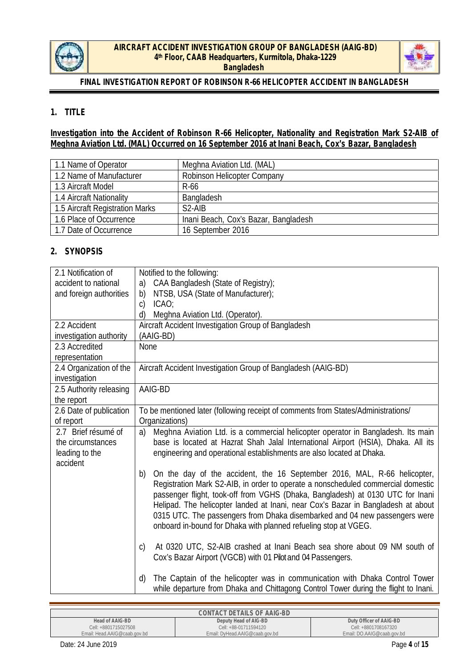



# **1. TITLE**

**Investigation into the Accident of Robinson R-66 Helicopter, Nationality and Registration Mark S2-AIB of Meghna Aviation Ltd. (MAL) Occurred on 16 September 2016 at Inani Beach, Cox's Bazar, Bangladesh**

| 1.1 Name of Operator            | Meghna Aviation Ltd. (MAL)           |
|---------------------------------|--------------------------------------|
| 1.2 Name of Manufacturer        | <b>Robinson Helicopter Company</b>   |
| 1.3 Aircraft Model              | R-66                                 |
| 1.4 Aircraft Nationality        | Bangladesh                           |
| 1.5 Aircraft Registration Marks | $S2-AIB$                             |
| 1.6 Place of Occurrence         | Inani Beach, Cox's Bazar, Bangladesh |
| 1.7 Date of Occurrence          | 16 September 2016                    |

## **2. SYNOPSIS**

| 2.1 Notification of<br>accident to national                            | Notified to the following:<br>CAA Bangladesh (State of Registry);<br>a)                                                                                                                                                                                                                                                                                                                                                                                                                   |
|------------------------------------------------------------------------|-------------------------------------------------------------------------------------------------------------------------------------------------------------------------------------------------------------------------------------------------------------------------------------------------------------------------------------------------------------------------------------------------------------------------------------------------------------------------------------------|
| and foreign authorities                                                | NTSB, USA (State of Manufacturer);<br>b)                                                                                                                                                                                                                                                                                                                                                                                                                                                  |
|                                                                        | ICAO<br>$\mathcal{C}$ )                                                                                                                                                                                                                                                                                                                                                                                                                                                                   |
|                                                                        | Meghna Aviation Ltd. (Operator).<br>d)                                                                                                                                                                                                                                                                                                                                                                                                                                                    |
| 2.2 Accident                                                           | Aircraft Accident Investigation Group of Bangladesh<br>(AAIG-BD)                                                                                                                                                                                                                                                                                                                                                                                                                          |
| investigation authority<br>2.3 Accredited                              | None                                                                                                                                                                                                                                                                                                                                                                                                                                                                                      |
| representation                                                         |                                                                                                                                                                                                                                                                                                                                                                                                                                                                                           |
| 2.4 Organization of the<br>investigation                               | Aircraft Accident Investigation Group of Bangladesh (AAIG-BD)                                                                                                                                                                                                                                                                                                                                                                                                                             |
| 2.5 Authority releasing<br>the report                                  | AAIG-BD                                                                                                                                                                                                                                                                                                                                                                                                                                                                                   |
| 2.6 Date of publication<br>of report                                   | To be mentioned later (following receipt of comments from States/Administrations/<br>Organizations)                                                                                                                                                                                                                                                                                                                                                                                       |
| 2.7 Brief résumé of<br>the circumstances<br>leading to the<br>accident | Meghna Aviation Ltd. is a commercial helicopter operator in Bangladesh. Its main<br>a)<br>base is located at Hazrat Shah Jalal International Airport (HSIA), Dhaka. All its<br>engineering and operational establishments are also located at Dhaka.                                                                                                                                                                                                                                      |
|                                                                        | On the day of the accident, the 16 September 2016, MAL, R-66 helicopter,<br>b)<br>Registration Mark S2-AIB, in order to operate a nonscheduled commercial domestic<br>passenger flight, took-off from VGHS (Dhaka, Bangladesh) at 0130 UTC for Inani<br>Helipad. The helicopter landed at Inani, near Cox's Bazar in Bangladesh at about<br>0315 UTC. The passengers from Dhaka disembarked and 04 new passengers were<br>onboard in-bound for Dhaka with planned refueling stop at VGEG. |
|                                                                        | At 0320 UTC, S2-AIB crashed at Inani Beach sea shore about 09 NM south of<br>$\mathsf{C}$<br>Cox's Bazar Airport (VGCB) with 01 Pilot and 04 Passengers.                                                                                                                                                                                                                                                                                                                                  |
|                                                                        | The Captain of the helicopter was in communication with Dhaka Control Tower<br>d)<br>while departure from Dhaka and Chittagong Control Tower during the flight to Inani.                                                                                                                                                                                                                                                                                                                  |

|                              | CONTACT DETAILS OF AAIG-BD     |                            |
|------------------------------|--------------------------------|----------------------------|
| Head of AAIG-BD              | Deputy Head of AIG-BD          | Duty Officer of AAIG-BD    |
| Cell: +8801715027508         | Cell: +88-01711594120          | Cell: +8801708167320       |
| Email: Head.AAIG@caab.gov.bd | Email: DyHead.AAIG@caab.gov.bd | Email: DO.AAIG@caab.gov.bd |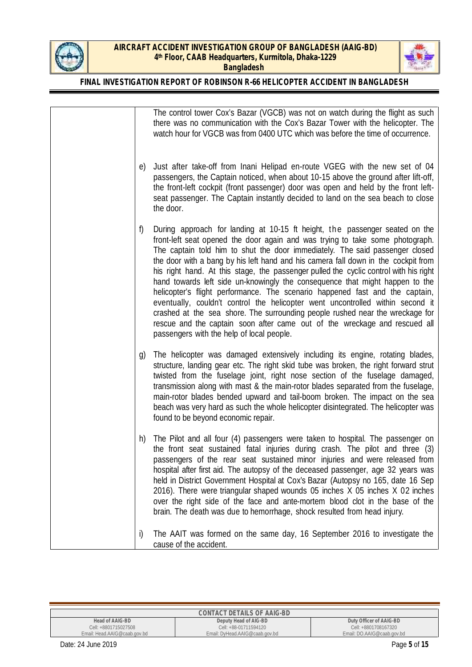



### **FINAL INVESTIGATION REPORT OF ROBINSON R-66 HELICOPTER ACCIDENT IN BANGLADESH**

|    | The control tower Cox's Bazar (VGCB) was not on watch during the flight as such<br>there was no communication with the Cox's Bazar Tower with the helicopter. The<br>watch hour for VGCB was from 0400 UTC which was before the time of occurrence.                                                                                                                                                                                                                                                                                                                                                                                                                                                                                                                                                                                                                                       |
|----|-------------------------------------------------------------------------------------------------------------------------------------------------------------------------------------------------------------------------------------------------------------------------------------------------------------------------------------------------------------------------------------------------------------------------------------------------------------------------------------------------------------------------------------------------------------------------------------------------------------------------------------------------------------------------------------------------------------------------------------------------------------------------------------------------------------------------------------------------------------------------------------------|
| e) | Just after take-off from Inani Helipad en-route VGEG with the new set of 04<br>passengers, the Captain noticed, when about 10-15 above the ground after lift-off,<br>the front-left cockpit (front passenger) door was open and held by the front left-<br>seat passenger. The Captain instantly decided to land on the sea beach to close<br>the door.                                                                                                                                                                                                                                                                                                                                                                                                                                                                                                                                   |
| f) | During approach for landing at 10-15 ft height, the passenger seated on the<br>front-left seat opened the door again and was trying to take some photograph.<br>The captain told him to shut the door immediately. The said passenger closed<br>the door with a bang by his left hand and his camera fall down in the cockpit from<br>his right hand. At this stage, the passenger pulled the cyclic control with his right<br>hand towards left side un-knowingly the consequence that might happen to the<br>helicopter's flight performance. The scenario happened fast and the captain,<br>eventually, couldn't control the helicopter went uncontrolled within second it<br>crashed at the sea shore. The surrounding people rushed near the wreckage for<br>rescue and the captain soon after came out of the wreckage and rescued all<br>passengers with the help of local people. |
| g) | The helicopter was damaged extensively including its engine, rotating blades,<br>structure, landing gear etc. The right skid tube was broken, the right forward strut<br>twisted from the fuselage joint, right nose section of the fuselage damaged,<br>transmission along with mast & the main-rotor blades separated from the fuselage,<br>main-rotor blades bended upward and tail-boom broken. The impact on the sea<br>beach was very hard as such the whole helicopter disintegrated. The helicopter was<br>found to be beyond economic repair.                                                                                                                                                                                                                                                                                                                                    |
| h) | The Pilot and all four (4) passengers were taken to hospital. The passenger on<br>the front seat sustained fatal injuries during crash. The pilot and three (3)<br>passengers of the rear seat sustained minor injuries and were released from<br>hospital after first aid. The autopsy of the deceased passenger, age 32 years was<br>held in District Government Hospital at Cox's Bazar (Autopsy no 165, date 16 Sep<br>2016). There were triangular shaped wounds 05 inches X 05 inches X 02 inches<br>over the right side of the face and ante-mortem blood clot in the base of the<br>brain. The death was due to hemorrhage, shock resulted from head injury.                                                                                                                                                                                                                      |
| i) | The AAIT was formed on the same day, 16 September 2016 to investigate the<br>cause of the accident.                                                                                                                                                                                                                                                                                                                                                                                                                                                                                                                                                                                                                                                                                                                                                                                       |

**CONTACT DETAILS OF AAIG-BD Head of AAIG-BD** Cell: +8801715027508 Email: Head.AAIG@caab.gov.bd **Deputy Head of AIG-BD** Cell: +88-01711594120 Email: DyHead.AAIG@caab.gov.bd **Duty Officer of AAIG-BD** Cell: +8801708167320 Email: DO.AAIG@caab.gov.bd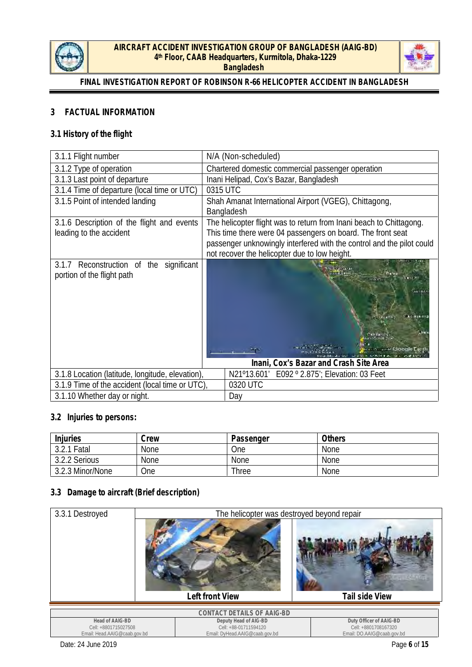



## **3 FACTUAL INFORMATION**

## **3.1 History of the flight**

| 3.1.1 Flight number                                                      | N/A (Non-scheduled)                                                                                                                                                                                                                                          |
|--------------------------------------------------------------------------|--------------------------------------------------------------------------------------------------------------------------------------------------------------------------------------------------------------------------------------------------------------|
| 3.1.2 Type of operation                                                  | Chartered domestic commercial passenger operation                                                                                                                                                                                                            |
| 3.1.3 Last point of departure                                            | Inani Helipad, Cox's Bazar, Bangladesh                                                                                                                                                                                                                       |
| 3.1.4 Time of departure (local time or UTC)                              | 0315 UTC                                                                                                                                                                                                                                                     |
| 3.1.5 Point of intended landing                                          | Shah Amanat International Airport (VGEG), Chittagong,<br>Bangladesh                                                                                                                                                                                          |
| 3.1.6 Description of the flight and events<br>leading to the accident    | The helicopter flight was to return from Inani beach to Chittagong.<br>This time there were 04 passengers on board. The front seat<br>passenger unknowingly interfered with the control and the pilot could<br>not recover the helicopter due to low height. |
| Reconstruction of the significant<br>3.1.7<br>portion of the flight path | <b>Hunt Hill</b><br><b>Dukera</b><br><b>MAGNAT</b><br>通常 通過制作の定<br>ani Gerah Sua<br>un an a-ar Coogle<br>Inani, Cox's Bazar and Crash Site Area                                                                                                              |
| 3.1.8 Location (latitude, longitude, elevation),                         | N21°13.601′ E092 ° 2.875′; Elevation: 03 Feet                                                                                                                                                                                                                |
| 3.1.9 Time of the accident (local time or UTC).                          | 0320 UTC                                                                                                                                                                                                                                                     |
| 3.1.10 Whether day or night.                                             | Day                                                                                                                                                                                                                                                          |

#### **3.2 Injuries to persons:**

| Injuries         | Crew | Passenger   | Others      |
|------------------|------|-------------|-------------|
| 3.2.1 Fatal      | None | One         | None        |
| 3.2.2 Serious    | None | <b>None</b> | <b>None</b> |
| 3.2.3 Minor/None | One  | Three       | <b>None</b> |

### **3.3 Damage to aircraft (Brief description)**

| 3.3.1 Destroyed                                                         | The helicopter was destroyed beyond repair                                       |                                                                               |
|-------------------------------------------------------------------------|----------------------------------------------------------------------------------|-------------------------------------------------------------------------------|
|                                                                         |                                                                                  |                                                                               |
|                                                                         | Left front View                                                                  | Tail side View                                                                |
|                                                                         | CONTACT DETAILS OF AAIG-BD                                                       |                                                                               |
| Head of AAIG-BD<br>Cell: +8801715027508<br>Email: Head.AAIG@caab.gov.bd | Deputy Head of AIG-BD<br>Cell: +88-01711594120<br>Email: DyHead.AAIG@caab.gov.bd | Duty Officer of AAIG-BD<br>Cell: +8801708167320<br>Email: DO.AAIG@caab.gov.bd |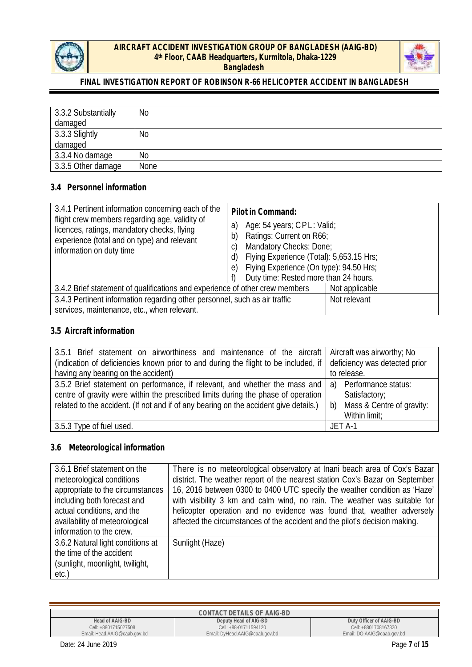



## **FINAL INVESTIGATION REPORT OF ROBINSON R-66 HELICOPTER ACCIDENT IN BANGLADESH**

| 3.3.2 Substantially | No   |
|---------------------|------|
| damaged             |      |
| 3.3.3 Slightly      | No   |
| damaged             |      |
| 3.3.4 No damage     | No   |
| 3.3.5 Other damage  | None |

#### **3.4 Personnel information**

| 3.4 Personnel information                                                                                                                                                                                                      |                                                                                                                                                                                                                                                                      |
|--------------------------------------------------------------------------------------------------------------------------------------------------------------------------------------------------------------------------------|----------------------------------------------------------------------------------------------------------------------------------------------------------------------------------------------------------------------------------------------------------------------|
| 3.4.1 Pertinent information concerning each of the<br>flight crew members regarding age, validity of<br>licences, ratings, mandatory checks, flying<br>experience (total and on type) and relevant<br>information on duty time | Pilot in Command:<br>Age: 54 years; CPL: Valid;<br>a)<br>Ratings: Current on R66;<br>b)<br>Mandatory Checks: Done;<br>C)<br>Flying Experience (Total): 5,653.15 Hrs;<br>d)<br>Flying Experience (On type): 94.50 Hrs;<br>e)<br>Duty time: Rested more than 24 hours. |
| 3.4.2 Brief statement of qualifications and experience of other crew members                                                                                                                                                   | Not applicable                                                                                                                                                                                                                                                       |
| 3.4.3 Pertinent information regarding other personnel, such as air traffic                                                                                                                                                     | Not relevant                                                                                                                                                                                                                                                         |
| services, maintenance, etc., when relevant.                                                                                                                                                                                    |                                                                                                                                                                                                                                                                      |

#### **3.5 Aircraft information**

| 3.5.1 Brief statement on airworthiness and maintenance of the aircraft Aircraft was airworthy; No                 |                              |
|-------------------------------------------------------------------------------------------------------------------|------------------------------|
| (indication of deficiencies known prior to and during the flight to be included, if deficiency was detected prior |                              |
| having any bearing on the accident)                                                                               | to release.                  |
| 3.5.2 Brief statement on performance, if relevant, and whether the mass and $ a\rangle$ Performance status:       |                              |
| centre of gravity were within the prescribed limits during the phase of operation                                 | Satisfactory;                |
| related to the accident. (If not and if of any bearing on the accident give details.)                             | b) Mass & Centre of gravity: |
|                                                                                                                   | Within limit;                |
| 3.5.3 Type of fuel used.                                                                                          | JET A-1                      |

## **3.6 Meteorological information**

| 3.6.1 Brief statement on the<br>meteorological conditions<br>appropriate to the circumstances<br>including both forecast and<br>actual conditions, and the<br>availability of meteorological<br>information to the crew. | There is no meteorological observatory at Inani beach area of Cox's Bazar<br>district. The weather report of the nearest station Cox's Bazar on September<br>16, 2016 between 0300 to 0400 UTC specify the weather condition as 'Haze'<br>with visibility 3 km and calm wind, no rain. The weather was suitable for<br>helicopter operation and no evidence was found that, weather adversely<br>affected the circumstances of the accident and the pilot's decision making. |
|--------------------------------------------------------------------------------------------------------------------------------------------------------------------------------------------------------------------------|------------------------------------------------------------------------------------------------------------------------------------------------------------------------------------------------------------------------------------------------------------------------------------------------------------------------------------------------------------------------------------------------------------------------------------------------------------------------------|
| 3.6.2 Natural light conditions at<br>the time of the accident<br>(sunlight, moonlight, twilight,<br>etc.)                                                                                                                | Sunlight (Haze)                                                                                                                                                                                                                                                                                                                                                                                                                                                              |

|                                                                                                                                               | CONTACT DETAILS OF AAIG-BD |                      |
|-----------------------------------------------------------------------------------------------------------------------------------------------|----------------------------|----------------------|
| Head of AAIG-BD<br>Deputy Head of AIG-BD<br>Duty Officer of AAIG-BD                                                                           |                            | Cell: +8801708167320 |
| Cell: +8801715027508<br>Cell: +88-01711594120<br>Email: Head.AAIG@caab.gov.bd<br>Email: DyHead.AAIG@caab.gov.bd<br>Email: DO.AAIG@caab.gov.bd |                            |                      |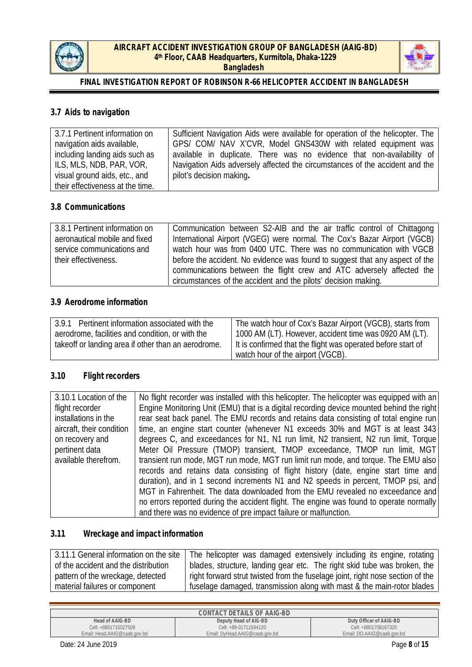



## **3.7 Aids to navigation**

| 3.7.1 Pertinent information on   | Sufficient Navigation Aids were available for operation of the helicopter. The |
|----------------------------------|--------------------------------------------------------------------------------|
| navigation aids available,       | GPS/ COM/ NAV X'CVR, Model GNS430W with related equipment was                  |
| including landing aids such as   | available in duplicate. There was no evidence that non-availability of         |
| ILS, MLS, NDB, PAR, VOR,         | Navigation Aids adversely affected the circumstances of the accident and the   |
| visual ground aids, etc., and    | pilot's decision making.                                                       |
| their effectiveness at the time. |                                                                                |

#### **3.8 Communications**

| 3.8.1 Pertinent information on | Communication between S2-AIB and the air traffic control of Chittagong                                                                    |
|--------------------------------|-------------------------------------------------------------------------------------------------------------------------------------------|
| aeronautical mobile and fixed  | International Airport (VGEG) were normal. The Cox's Bazar Airport (VGCB)                                                                  |
| service communications and     | watch hour was from 0400 UTC. There was no communication with VGCB                                                                        |
| their effectiveness.           | before the accident. No evidence was found to suggest that any aspect of the                                                              |
|                                | communications between the flight crew and ATC adversely affected the  <br>circumstances of the accident and the pilots' decision making. |

## **3.9 Aerodrome information**

| Pertinent information associated with the<br>3.9.1   | The watch hour of Cox's Bazar Airport (VGCB), starts from    |  |
|------------------------------------------------------|--------------------------------------------------------------|--|
| aerodrome, facilities and condition, or with the     | 1000 AM (LT). However, accident time was 0920 AM (LT).       |  |
| take off or landing area if other than an aerodrome. | It is confirmed that the flight was operated before start of |  |
|                                                      | watch hour of the airport (VGCB).                            |  |

## **3.10 Flight recorders**

| 3.10.1 Location of the    | No flight recorder was installed with this helicopter. The helicopter was equipped with an |
|---------------------------|--------------------------------------------------------------------------------------------|
| flight recorder           | Engine Monitoring Unit (EMU) that is a digital recording device mounted behind the right   |
| installations in the      | rear seat back panel. The EMU records and retains data consisting of total engine run      |
| aircraft, their condition | time, an engine start counter (whenever N1 exceeds 30% and MGT is at least 343)            |
| on recovery and           | degrees C, and exceedances for N1, N1 run limit, N2 transient, N2 run limit, Torque        |
| pertinent data            | Meter Oil Pressure (TMOP) transient, TMOP exceedance, TMOP run limit, MGT                  |
| available therefrom.      | transient run mode, MGT run mode, MGT run limit run mode, and torque. The EMU also         |
|                           | records and retains data consisting of flight history (date, engine start time and         |
|                           | duration), and in 1 second increments N1 and N2 speeds in percent, TMOP psi, and           |
|                           | MGT in Fahrenheit. The data downloaded from the EMU revealed no exceedance and             |
|                           | no errors reported during the accident flight. The engine was found to operate normally    |
|                           | and there was no evidence of pre impact failure or malfunction.                            |

# **3.11 Wreckage and impact information**

| 3.11.1 General information on the site | The helicopter was damaged extensively including its engine, rotating          |
|----------------------------------------|--------------------------------------------------------------------------------|
| of the accident and the distribution   | blades, structure, landing gear etc. The right skid tube was broken, the       |
| pattern of the wreckage, detected      | right forward strut twisted from the fuselage joint, right nose section of the |
| material failures or component         | fuselage damaged, transmission along with mast & the main-rotor blades         |

| CONTACT DETAILS OF AAIG-BD   |                                |                            |  |
|------------------------------|--------------------------------|----------------------------|--|
| Head of AAIG-BD              | Deputy Head of AIG-BD          | Duty Officer of AAIG-BD    |  |
| Cell: +8801715027508         | Cell: +88-01711594120          | Cell: +8801708167320       |  |
| Email: Head.AAIG@caab.gov.bd | Email: DyHead.AAIG@caab.gov.bd | Email: DO.AAIG@caab.gov.bd |  |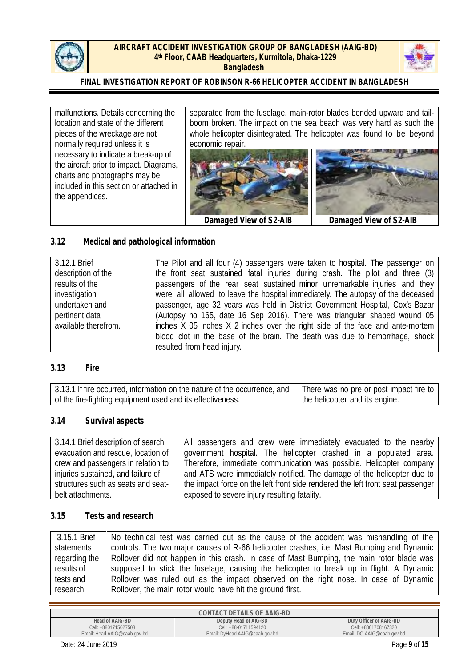



### **FINAL INVESTIGATION REPORT OF ROBINSON R-66 HELICOPTER ACCIDENT IN BANGLADESH**

malfunctions. Details concerning the location and state of the different pieces of the wreckage are not normally required unless it is necessary to indicate a break-up of the aircraft prior to impact. Diagrams, charts and photographs may be included in this section or attached in the appendices.

separated from the fuselage, main-rotor blades bended upward and tail boom broken. The impact on the sea beach was very hard as such the whole helicopter disintegrated. The helicopter was found to be beyond economic repair.





**Damaged View of S2-AIB Damaged View of S2-AIB**

## **3.12 Medical and pathological information**

| 3.12.1 Brief         | The Pilot and all four (4) passengers were taken to hospital. The passenger on  |
|----------------------|---------------------------------------------------------------------------------|
| description of the   | the front seat sustained fatal injuries during crash. The pilot and three (3)   |
| results of the       | passengers of the rear seat sustained minor unremarkable injuries and they      |
| investigation        | were all allowed to leave the hospital immediately. The autopsy of the deceased |
| undertaken and       | passenger, age 32 years was held in District Government Hospital, Cox's Bazar   |
| pertinent data       | (Autopsy no 165, date 16 Sep 2016). There was triangular shaped wound 05        |
| available therefrom. | inches X 05 inches X 2 inches over the right side of the face and ante-mortem   |
|                      | blood clot in the base of the brain. The death was due to hemorrhage, shock     |
|                      | resulted from head injury.                                                      |

#### **3.13 Fire**

| 3.13.1 If fire occurred, information on the nature of the occurrence, and | There was no pre or post impact fire to |
|---------------------------------------------------------------------------|-----------------------------------------|
| of the fire-fighting equipment used and its effectiveness.                | the helicopter and its engine.          |

#### **3.14 Survival aspects**

| 3.14.1 Brief description of search, | All passengers and crew were immediately evacuated to the nearby               |
|-------------------------------------|--------------------------------------------------------------------------------|
| evacuation and rescue, location of  | government hospital. The helicopter crashed in a populated area.               |
| crew and passengers in relation to  | Therefore, immediate communication was possible. Helicopter company            |
| injuries sustained, and failure of  | and ATS were immediately notified. The damage of the helicopter due to         |
| structures such as seats and seat-  | the impact force on the left front side rendered the left front seat passenger |
| belt attachments.                   | exposed to severe injury resulting fatality.                                   |

### **3.15 Tests and research**

| 3.15.1 Brief  | No technical test was carried out as the cause of the accident was mishandling of the    |
|---------------|------------------------------------------------------------------------------------------|
| statements    | controls. The two major causes of R-66 helicopter crashes, i.e. Mast Bumping and Dynamic |
| regarding the | Rollover did not happen in this crash. In case of Mast Bumping, the main rotor blade was |
| results of    | supposed to stick the fuselage, causing the helicopter to break up in flight. A Dynamic  |
| tests and     | Rollover was ruled out as the impact observed on the right nose. In case of Dynamic      |
| research.     | Rollover, the main rotor would have hit the ground first.                                |

| CONTACT DETAILS OF AAIG-BD   |                                |                            |  |
|------------------------------|--------------------------------|----------------------------|--|
| Head of AAIG-BD              | Deputy Head of AIG-BD          | Duty Officer of AAIG-BD    |  |
| Cell: +8801715027508         | Cell: +88-01711594120          | Cell: +8801708167320       |  |
| Email: Head.AAIG@caab.gov.bd | Email: DyHead.AAIG@caab.gov.bd | Email: DO.AAIG@caab.gov.bd |  |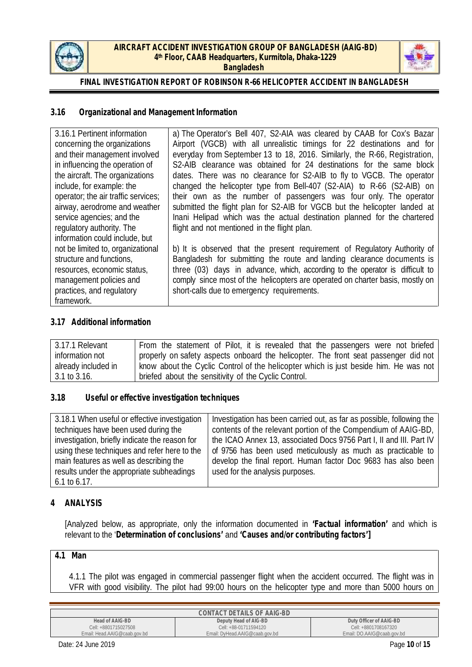



### **3.16 Organizational and Management Information**

| 3.16.1 Pertinent information        | a) The Operator's Bell 407, S2-AIA was cleared by CAAB for Cox's Bazar        |
|-------------------------------------|-------------------------------------------------------------------------------|
| concerning the organizations        | Airport (VGCB) with all unrealistic timings for 22 destinations and for       |
| and their management involved       | everyday from September 13 to 18, 2016. Similarly, the R-66, Registration,    |
| in influencing the operation of     | S2-AIB clearance was obtained for 24 destinations for the same block          |
| the aircraft. The organizations     | dates. There was no clearance for S2-AIB to fly to VGCB. The operator         |
| include, for example: the           | changed the helicopter type from Bell-407 (S2-AIA) to R-66 (S2-AIB) on        |
| operator; the air traffic services; | their own as the number of passengers was four only. The operator             |
| airway, aerodrome and weather       | submitted the flight plan for S2-AIB for VGCB but the helicopter landed at    |
| service agencies; and the           | Inani Helipad which was the actual destination planned for the chartered      |
| regulatory authority. The           | flight and not mentioned in the flight plan.                                  |
| information could include, but      |                                                                               |
| not be limited to, organizational   | b) It is observed that the present requirement of Regulatory Authority of     |
| structure and functions,            | Bangladesh for submitting the route and landing clearance documents is        |
| resources, economic status,         | three (03) days in advance, which, according to the operator is difficult to  |
| management policies and             | comply since most of the helicopters are operated on charter basis, mostly on |
| practices, and regulatory           | short-calls due to emergency requirements.                                    |
| framework.                          |                                                                               |

### **3.17 Additional information**

| 3.17.1 Relevant     | From the statement of Pilot, it is revealed that the passengers were not briefed     |
|---------------------|--------------------------------------------------------------------------------------|
| information not     | properly on safety aspects onboard the helicopter. The front seat passenger did not  |
| already included in | know about the Cyclic Control of the helicopter which is just beside him. He was not |
| 3.1 to 3.16.        | briefed about the sensitivity of the Cyclic Control.                                 |

#### **3.18 Useful or effective investigation techniques**

| 3.18.1 When useful or effective investigation  | Investigation has been carried out, as far as possible, following the |  |
|------------------------------------------------|-----------------------------------------------------------------------|--|
| techniques have been used during the           | contents of the relevant portion of the Compendium of AAIG-BD,        |  |
| investigation, briefly indicate the reason for | the ICAO Annex 13, associated Docs 9756 Part I, II and III. Part IV   |  |
| using these techniques and refer here to the   | of 9756 has been used meticulously as much as practicable to          |  |
| main features as well as describing the        | develop the final report. Human factor Doc 9683 has also been         |  |
| results under the appropriate subheadings      | used for the analysis purposes.                                       |  |
| $6.1$ to $6.17$ .                              |                                                                       |  |

#### **4 ANALYSIS**

[Analyzed below, as appropriate, only the information documented in **'Factual information'** and which is relevant to the '**Determination of conclusions'** and **'Causes and/or contributing factors']**

## **4.1 Man**

4.1.1 The pilot was engaged in commercial passenger flight when the accident occurred. The flight was in VFR with good visibility. The pilot had 99:00 hours on the helicopter type and more than 5000 hours on

| CONTACT DETAILS OF AAIG-BD   |                                |                            |  |
|------------------------------|--------------------------------|----------------------------|--|
| Head of AAIG-BD              | Deputy Head of AIG-BD          | Duty Officer of AAIG-BD    |  |
| Cell: +8801715027508         | Cell: +88-01711594120          | Cell: +8801708167320       |  |
| Email: Head.AAIG@caab.gov.bd | Email: DyHead.AAIG@caab.gov.bd | Email: DO.AAIG@caab.gov.bd |  |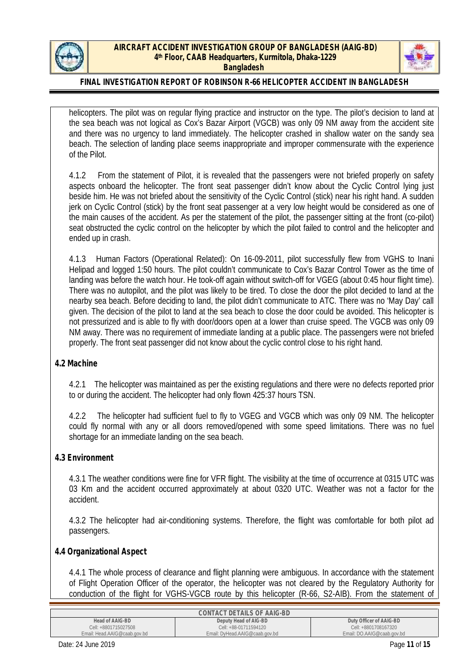



### **FINAL INVESTIGATION REPORT OF ROBINSON R-66 HELICOPTER ACCIDENT IN BANGLADESH**

helicopters. The pilot was on regular flying practice and instructor on the type. The pilot's decision to land at the sea beach was not logical as Cox's Bazar Airport (VGCB) was only 09 NM away from the accident site and there was no urgency to land immediately. The helicopter crashed in shallow water on the sandy sea beach. The selection of landing place seems inappropriate and improper commensurate with the experience of the Pilot.

4.1.2 From the statement of Pilot, it is revealed that the passengers were not briefed properly on safety aspects onboard the helicopter. The front seat passenger didn't know about the Cyclic Control lying just beside him. He was not briefed about the sensitivity of the Cyclic Control (stick) near his right hand. A sudden jerk on Cyclic Control (stick) by the front seat passenger at a very low height would be considered as one of the main causes of the accident. As per the statement of the pilot, the passenger sitting at the front (co-pilot) seat obstructed the cyclic control on the helicopter by which the pilot failed to control and the helicopter and ended up in crash.

4.1.3 Human Factors (Operational Related): On 16-09-2011, pilot successfully flew from VGHS to Inani Helipad and logged 1:50 hours. The pilot couldn't communicate to Cox's Bazar Control Tower as the time of landing was before the watch hour. He took-off again without switch-off for VGEG (about 0:45 hour flight time). There was no autopilot, and the pilot was likely to be tired. To close the door the pilot decided to land at the nearby sea beach. Before deciding to land, the pilot didn't communicate to ATC. There was no 'May Day' call given. The decision of the pilot to land at the sea beach to close the door could be avoided. This helicopter is not pressurized and is able to fly with door/doors open at a lower than cruise speed. The VGCB was only 09 NM away. There was no requirement of immediate landing at a public place. The passengers were not briefed properly. The front seat passenger did not know about the cyclic control close to his right hand.

#### **4.2 Machine**

4.2.1 The helicopter was maintained as per the existing regulations and there were no defects reported prior to or during the accident. The helicopter had only flown 425:37 hours TSN.

4.2.2 The helicopter had sufficient fuel to fly to VGEG and VGCB which was only 09 NM. The helicopter could fly normal with any or all doors removed/opened with some speed limitations. There was no fuel shortage for an immediate landing on the sea beach.

## **4.3 Environment**

4.3.1 The weather conditions were fine for VFR flight. The visibility at the time of occurrence at 0315 UTC was 03 Km and the accident occurred approximately at about 0320 UTC. Weather was not a factor for the accident.

4.3.2 The helicopter had air-conditioning systems. Therefore, the flight was comfortable for both pilot ad passengers.

**4.4 Organizational Aspect**

4.4.1 The whole process of clearance and flight planning were ambiguous. In accordance with the statement of Flight Operation Officer of the operator, the helicopter was not cleared by the Regulatory Authority for conduction of the flight for VGHS-VGCB route by this helicopter (R-66, S2-AIB). From the statement of

| CONTACT DETAILS OF AAIG-BD   |                                |                            |  |
|------------------------------|--------------------------------|----------------------------|--|
| Head of AAIG-BD              | Deputy Head of AIG-BD          | Duty Officer of AAIG-BD    |  |
| Cell: +8801715027508         | Cell: +88-01711594120          | Cell: +8801708167320       |  |
| Email: Head.AAIG@caab.gov.bd | Email: DyHead.AAIG@caab.gov.bd | Email: DO.AAIG@caab.gov.bd |  |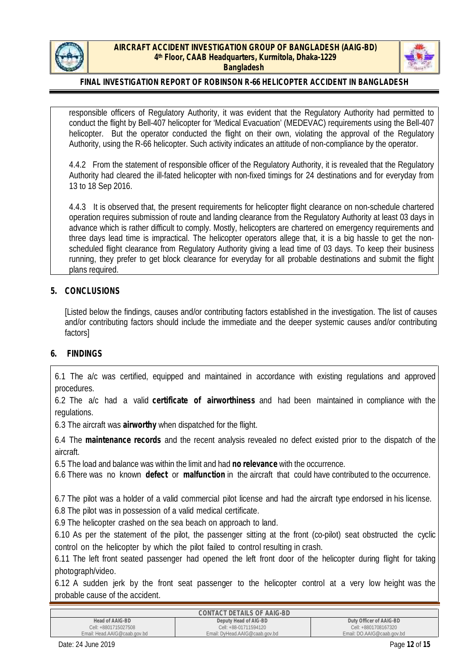



### **FINAL INVESTIGATION REPORT OF ROBINSON R-66 HELICOPTER ACCIDENT IN BANGLADESH**

responsible officers of Regulatory Authority, it was evident that the Regulatory Authority had permitted to conduct the flight by Bell-407 helicopter for 'Medical Evacuation' (MEDEVAC) requirements using the Bell-407 helicopter. But the operator conducted the flight on their own, violating the approval of the Regulatory Authority, using the R-66 helicopter. Such activity indicates an attitude of non-compliance by the operator.

4.4.2 From the statement of responsible officer of the Regulatory Authority, it is revealed that the Regulatory Authority had cleared the ill-fated helicopter with non-fixed timings for 24 destinations and for everyday from 13 to 18 Sep 2016.

4.4.3 It is observed that, the present requirements for helicopter flight clearance on non-schedule chartered operation requires submission of route and landing clearance from the Regulatory Authority at least 03 days in advance which is rather difficult to comply. Mostly, helicopters are chartered on emergency requirements and three days lead time is impractical. The helicopter operators allege that, it is a big hassle to get the non scheduled flight clearance from Regulatory Authority giving a lead time of 03 days. To keep their business running, they prefer to get block clearance for everyday for all probable destinations and submit the flight plans required.

#### **5. CONCLUSIONS**

[Listed below the findings, causes and/or contributing factors established in the investigation. The list of causes and/or contributing factors should include the immediate and the deeper systemic causes and/or contributing factors]

#### **6. FINDINGS**

6.1 The a/c was certified, equipped and maintained in accordance with existing regulations and approved procedures.

6.2 The a/c had a valid **certificate of airworthiness** and had been maintained in compliance with the regulations.

6.3 The aircraft was **airworthy** when dispatched for the flight.

6.4 The **maintenance records** and the recent analysis revealed no defect existed prior to the dispatch of the aircraft.

6.5 The load and balance was within the limitand had **no relevance** with the occurrence.

6.6 There was no known **defect** or **malfunction** in the aircraft that could have contributed to the occurrence.

6.7 The pilot was a holder of a valid commercial pilot license and had the aircraft type endorsed in his license. 6.8 The pilot was in possession of a valid medical certificate.

6.9 The helicopter crashed on the sea beach on approach to land.

6.10 As per the statement of the pilot, the passenger sitting at the front (co-pilot) seat obstructed the cyclic control on the helicopter by which the pilot failed to control resulting in crash.

6.11 The left front seated passenger had opened the left front door of the helicopter during flight for taking photograph/video.

6.12 A sudden jerk by the front seat passenger to the helicopter control at a very low height was the probable cause of the accident.

| CONTACT DETAILS OF AAIG-BD   |                                |                            |  |  |
|------------------------------|--------------------------------|----------------------------|--|--|
| Head of AAIG-BD              | Deputy Head of AIG-BD          | Duty Officer of AAIG-BD    |  |  |
| Cell: +8801715027508         | Cell: +88-01711594120          | Cell: +8801708167320       |  |  |
| Email: Head.AAIG@caab.gov.bd | Email: DyHead.AAIG@caab.gov.bd | Email: DO.AAIG@caab.gov.bd |  |  |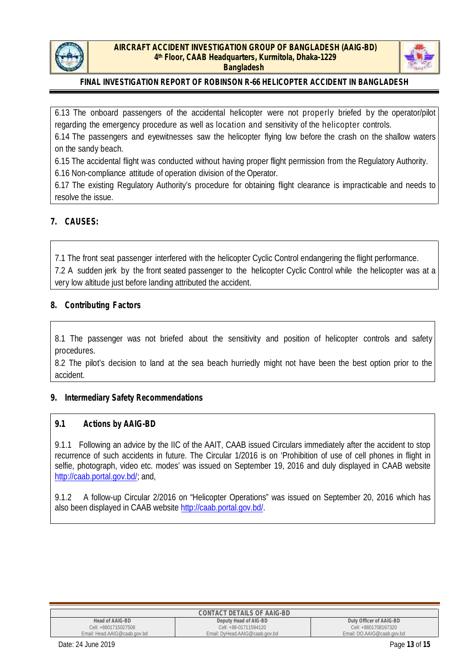



6.13 The onboard passengers of the accidental helicopter were not properly briefed by the operator/pilot regarding the emergency procedure as well as location and sensitivity of the helicopter controls.

6.14 The passengers and eyewitnesses saw the helicopter flying low before the crash on the shallow waters on the sandy beach.

6.15 The accidental flight was conducted without having proper flight permission from the Regulatory Authority. 6.16 Non-compliance attitude of operation division of the Operator.

6.17 The existing Regulatory Authority's procedure forobtaining flight clearance is impracticable and needs to resolve the issue.

### **7. CAUSES:**

7.1 The front seat passenger interfered with the helicopter Cyclic Control endangering the flight performance. 7.2 A sudden jerk by the front seated passenger to the helicopter Cyclic Control while the helicopter was at a very low altitude just before landing attributed the accident.

### **8. Contributing Factors**

8.1 The passenger was not briefed about the sensitivity and position of helicopter controls and safety procedures.

8.2 The pilot's decision to land at the sea beach hurriedly might not have been the best option prior to the accident.

#### **9. Intermediary Safety Recommendations**

#### **9.1 Actions by AAIG-BD**

9.1.1 Following an advice by the IIC of the AAIT, CAAB issued Circulars immediately after the accident to stop recurrence of such accidents in future. The Circular 1/2016 is on 'Prohibition of use of cell phones in flight in selfie, photograph, video etc. modes' was issued on September 19, 2016 and duly displayed in CAAB website http://caab.portal.gov.bd/; and,

9.1.2 A follow-up Circular 2/2016 on "Helicopter Operations" was issued on September 20, 2016 which has also been displayed in CAAB website http://caab.portal.gov.bd/.

| CONTACT DETAILS OF AAIG-BD   |                                |                            |  |  |
|------------------------------|--------------------------------|----------------------------|--|--|
| Head of AAIG-BD              | Deputy Head of AIG-BD          | Duty Officer of AAIG-BD    |  |  |
| Cell: +8801715027508         | Cell: +88-01711594120          | Cell: +8801708167320       |  |  |
| Email: Head.AAIG@caab.gov.bd | Email: DyHead.AAIG@caab.gov.bd | Email: DO.AAIG@caab.gov.bd |  |  |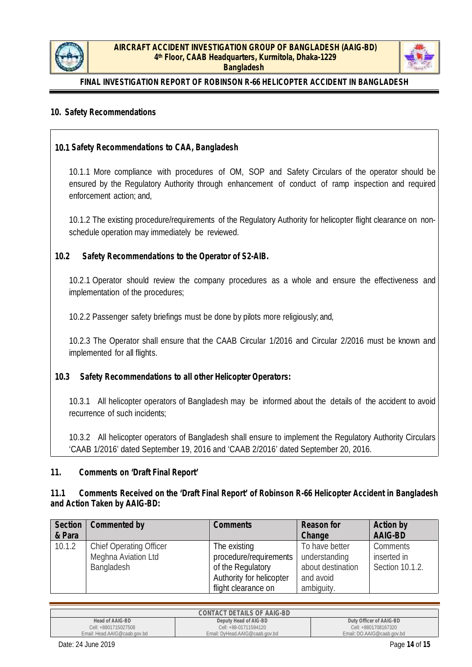



### **10. Safety Recommendations**

**10.1 Safety Recommendations to CAA, Bangladesh**

10.1.1 More compliance with procedures of OM, SOP and Safety Circulars of the operator should be ensured by the Regulatory Authority through enhancement of conduct of ramp inspection and required enforcement action; and,

10.1.2 The existing procedure/requirements of the Regulatory Authority for helicopter flight clearance on non schedule operation may immediately be reviewed.

**10.2 Safety Recommendations to the Operator of S2-AIB.**

10.2.1 Operator should review the company procedures as a whole and ensure the effectiveness and implementation of the procedures;

10.2.2 Passenger safety briefings must be done by pilots more religiously; and,

10.2.3 The Operator shall ensure that the CAAB Circular 1/2016 and Circular 2/2016 must be known and implemented for all flights.

**10.3 Safety Recommendations to all other Helicopter Operators:**

10.3.1 All helicopter operators of Bangladesh may be informed about the details of the accident to avoid recurrence of such incidents;

10.3.2 All helicopter operators of Bangladesh shall ensure to implement the Regulatory Authority Circulars 'CAAB 1/2016' dated September 19, 2016 and 'CAAB 2/2016' dated September 20, 2016.

**11. Comments on 'Draft Final Report'**

**11.1 Comments Received on the 'Draft Final Report' of Robinson R-66 Helicopter Accident in Bangladesh and Action Taken by AAIG-BD:**

| Section | Commented by                   | Comments                 | Reason for        | Action by       |
|---------|--------------------------------|--------------------------|-------------------|-----------------|
| & Para  |                                |                          | Change            | AAIG-BD         |
| 10.1.2  | <b>Chief Operating Officer</b> | The existing             | To have better    | Comments        |
|         | Meghna Aviation Ltd            | procedure/requirements   | understanding     | inserted in     |
|         | Bangladesh                     | of the Regulatory        | about destination | Section 10.1.2. |
|         |                                | Authority for helicopter | and avoid         |                 |
|         |                                | flight clearance on      | ambiguity.        |                 |

| CONTACT DETAILS OF AAIG-BD   |                                |                            |  |  |
|------------------------------|--------------------------------|----------------------------|--|--|
| Head of AAIG-BD              | Deputy Head of AIG-BD          | Duty Officer of AAIG-BD    |  |  |
| Cell: +8801715027508         | Cell: +88-01711594120          | Cell: +8801708167320       |  |  |
| Email: Head.AAIG@caab.gov.bd | Email: DyHead.AAIG@caab.gov.bd | Email: DO.AAIG@caab.gov.bd |  |  |